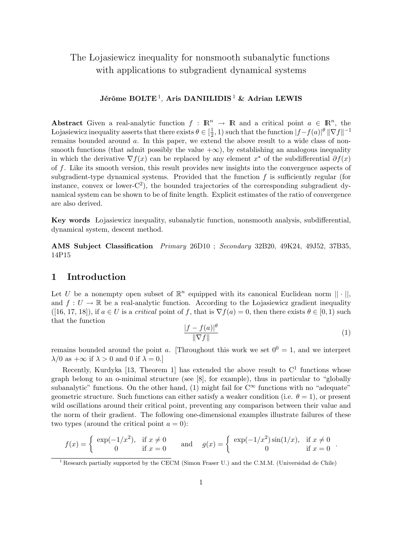# The Lojasiewicz inequality for nonsmooth subanalytic functions with applications to subgradient dynamical systems

# Jérôme BOLTE<sup>1</sup>, Aris DANIILIDIS <sup>1</sup> & Adrian LEWIS

Abstract Given a real-analytic function  $f : \mathbb{R}^n \to \mathbb{R}$  and a critical point  $a \in \mathbb{R}^n$ , the Lojasiewicz inequality asserts that there exists  $\theta \in \left[\frac{1}{2}\right]$  $(\frac{1}{2}, 1)$  such that the function  $|f - f(a)|^{\theta} \|\nabla f\|^{-1}$ remains bounded around a. In this paper, we extend the above result to a wide class of nonsmooth functions (that admit possibly the value  $+\infty$ ), by establishing an analogous inequality in which the derivative  $\nabla f(x)$  can be replaced by any element  $x^*$  of the subdifferential  $\partial f(x)$ of f. Like its smooth version, this result provides new insights into the convergence aspects of subgradient-type dynamical systems. Provided that the function  $f$  is sufficiently regular (for instance, convex or lower- $C^2$ ), the bounded trajectories of the corresponding subgradient dynamical system can be shown to be of finite length. Explicit estimates of the ratio of convergence are also derived.

Key words Lojasiewicz inequality, subanalytic function, nonsmooth analysis, subdifferential, dynamical system, descent method.

AMS Subject Classification Primary 26D10 ; Secondary 32B20, 49K24, 49J52, 37B35, 14P15

### 1 Introduction

Let U be a nonempty open subset of  $\mathbb{R}^n$  equipped with its canonical Euclidean norm  $|| \cdot ||$ , and  $f: U \to \mathbb{R}$  be a real-analytic function. According to the Lojasiewicz gradient inequality  $([16, 17, 18])$ , if  $a \in U$  is a critical point of f, that is  $\nabla f(a) = 0$ , then there exists  $\theta \in [0, 1)$  such that the function

$$
\frac{|f - f(a)|^{\theta}}{\|\nabla f\|}\tag{1}
$$

remains bounded around the point a. [Throughout this work we set  $0^0 = 1$ , and we interpret  $\lambda/0$  as  $+\infty$  if  $\lambda > 0$  and 0 if  $\lambda = 0$ .

Recently, Kurdyka [13, Theorem 1] has extended the above result to  $C<sup>1</sup>$  functions whose graph belong to an o-minimal structure (see [8], for example), thus in particular to "globally subanalytic" functions. On the other hand, (1) might fail for  $C^{\infty}$  functions with no "adequate" geometric structure. Such functions can either satisfy a weaker condition (i.e.  $\theta = 1$ ), or present wild oscillations around their critical point, preventing any comparison between their value and the norm of their gradient. The following one-dimensional examples illustrate failures of these two types (around the critical point  $a = 0$ ):

$$
f(x) = \begin{cases} \exp(-1/x^2), & \text{if } x \neq 0 \\ 0 & \text{if } x = 0 \end{cases} \text{ and } g(x) = \begin{cases} \exp(-1/x^2)\sin(1/x), & \text{if } x \neq 0 \\ 0 & \text{if } x = 0 \end{cases}.
$$

<sup>&</sup>lt;sup>1</sup> Research partially supported by the CECM (Simon Fraser U.) and the C.M.M. (Universidad de Chile)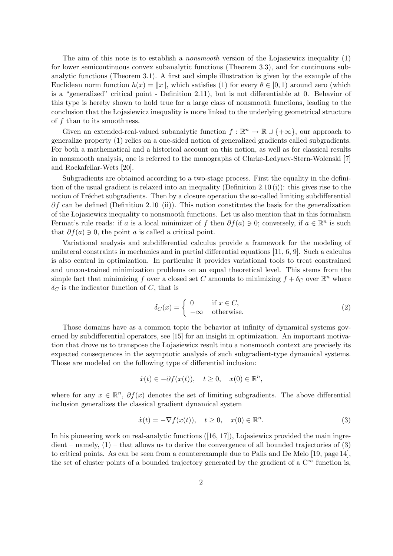The aim of this note is to establish a *nonsmooth* version of the Lojasiewicz inequality  $(1)$ for lower semicontinuous convex subanalytic functions (Theorem 3.3), and for continuous subanalytic functions (Theorem 3.1). A first and simple illustration is given by the example of the Euclidean norm function  $h(x) = ||x||$ , which satisfies (1) for every  $\theta \in [0, 1)$  around zero (which is a "generalized" critical point - Definition 2.11), but is not differentiable at 0. Behavior of this type is hereby shown to hold true for a large class of nonsmooth functions, leading to the conclusion that the Lojasiewicz inequality is more linked to the underlying geometrical structure of  $f$  than to its smoothness.

Given an extended-real-valued subanalytic function  $f : \mathbb{R}^n \to \mathbb{R} \cup \{+\infty\}$ , our approach to generalize property (1) relies on a one-sided notion of generalized gradients called subgradients. For both a mathematical and a historical account on this notion, as well as for classical results in nonsmooth analysis, one is referred to the monographs of Clarke-Ledyaev-Stern-Wolenski [7] and Rockafellar-Wets [20].

Subgradients are obtained according to a two-stage process. First the equality in the definition of the usual gradient is relaxed into an inequality (Definition 2.10 (i)): this gives rise to the notion of Fréchet subgradients. Then by a closure operation the so-called limiting subdifferential  $\partial f$  can be defined (Definition 2.10 (ii)). This notion constitutes the basis for the generalization of the Lojasiewicz inequality to nonsmooth functions. Let us also mention that in this formalism Fermat's rule reads: if a is a local minimizer of f then  $\partial f(a) \ni 0$ ; conversely, if  $a \in \mathbb{R}^n$  is such that  $\partial f(a) \ni 0$ , the point a is called a critical point.

Variational analysis and subdifferential calculus provide a framework for the modeling of unilateral constraints in mechanics and in partial differential equations [11, 6, 9]. Such a calculus is also central in optimization. In particular it provides variational tools to treat constrained and unconstrained minimization problems on an equal theoretical level. This stems from the simple fact that minimizing f over a closed set C amounts to minimizing  $f + \delta_C$  over  $\mathbb{R}^n$  where  $\delta_C$  is the indicator function of C, that is

$$
\delta_C(x) = \begin{cases} 0 & \text{if } x \in C, \\ +\infty & \text{otherwise.} \end{cases}
$$
 (2)

Those domains have as a common topic the behavior at infinity of dynamical systems governed by subdifferential operators, see [15] for an insight in optimization. An important motivation that drove us to transpose the Lojasiewicz result into a nonsmooth context are precisely its expected consequences in the asymptotic analysis of such subgradient-type dynamical systems. Those are modeled on the following type of differential inclusion:

$$
\dot{x}(t) \in -\partial f(x(t)), \quad t \ge 0, \quad x(0) \in \mathbb{R}^n,
$$

where for any  $x \in \mathbb{R}^n$ ,  $\partial f(x)$  denotes the set of limiting subgradients. The above differential inclusion generalizes the classical gradient dynamical system

$$
\dot{x}(t) = -\nabla f(x(t)), \quad t \ge 0, \quad x(0) \in \mathbb{R}^n. \tag{3}
$$

In his pioneering work on real-analytic functions  $([16, 17])$ , Lojasiewicz provided the main ingre $dient$  – namely,  $(1)$  – that allows us to derive the convergence of all bounded trajectories of  $(3)$ to critical points. As can be seen from a counterexample due to Palis and De Melo [19, page 14], the set of cluster points of a bounded trajectory generated by the gradient of a  $\mathbb{C}^{\infty}$  function is,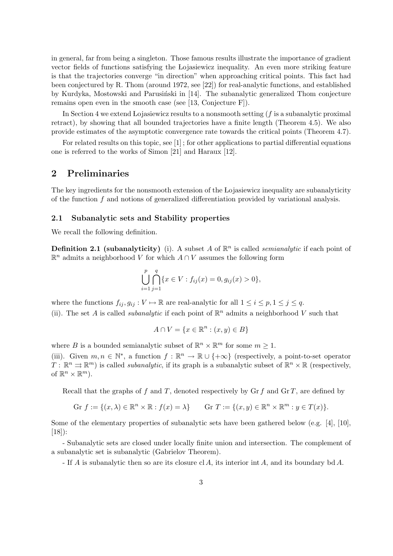in general, far from being a singleton. Those famous results illustrate the importance of gradient vector fields of functions satisfying the Lojasiewicz inequality. An even more striking feature is that the trajectories converge "in direction" when approaching critical points. This fact had been conjectured by R. Thom (around 1972, see [22]) for real-analytic functions, and established by Kurdyka, Mostowski and Parusiński in [14]. The subanalytic generalized Thom conjecture remains open even in the smooth case (see [13, Conjecture F]).

In Section 4 we extend Lojasiewicz results to a nonsmooth setting  $(f$  is a subanalytic proximal retract), by showing that all bounded trajectories have a finite length (Theorem 4.5). We also provide estimates of the asymptotic convergence rate towards the critical points (Theorem 4.7).

For related results on this topic, see [1] ; for other applications to partial differential equations one is referred to the works of Simon [21] and Haraux [12].

# 2 Preliminaries

The key ingredients for the nonsmooth extension of the Lojasiewicz inequality are subanalyticity of the function  $f$  and notions of generalized differentiation provided by variational analysis.

#### 2.1 Subanalytic sets and Stability properties

We recall the following definition.

**Definition 2.1 (subanalyticity)** (i). A subset A of  $\mathbb{R}^n$  is called *semianalytic* if each point of  $\mathbb{R}^n$  admits a neighborhood V for which  $A \cap V$  assumes the following form

$$
\bigcup_{i=1}^{p} \bigcap_{j=1}^{q} \{x \in V : f_{ij}(x) = 0, g_{ij}(x) > 0\},\
$$

where the functions  $f_{ij}, g_{ij}: V \mapsto \mathbb{R}$  are real-analytic for all  $1 \le i \le p, 1 \le j \le q$ . (ii). The set A is called *subanalytic* if each point of  $\mathbb{R}^n$  admits a neighborhood V such that

$$
A \cap V = \{x \in \mathbb{R}^n : (x, y) \in B\}
$$

where B is a bounded semianalytic subset of  $\mathbb{R}^n \times \mathbb{R}^m$  for some  $m \geq 1$ .

(iii). Given  $m, n \in \mathbb{N}^*$ , a function  $f : \mathbb{R}^n \to \mathbb{R} \cup \{+\infty\}$  (respectively, a point-to-set operator  $T: \mathbb{R}^n \rightrightarrows \mathbb{R}^m$ ) is called *subanalytic*, if its graph is a subanalytic subset of  $\mathbb{R}^n \times \mathbb{R}$  (respectively, of  $\mathbb{R}^n \times \mathbb{R}^m$ ).

Recall that the graphs of f and T, denoted respectively by Gr f and Gr T, are defined by

$$
\text{Gr } f := \{ (x, \lambda) \in \mathbb{R}^n \times \mathbb{R} : f(x) = \lambda \} \qquad \text{Gr } T := \{ (x, y) \in \mathbb{R}^n \times \mathbb{R}^m : y \in T(x) \}.
$$

Some of the elementary properties of subanalytic sets have been gathered below (e.g. [4], [10], [18]):

- Subanalytic sets are closed under locally finite union and intersection. The complement of a subanalytic set is subanalytic (Gabrielov Theorem).

- If A is subanalytic then so are its closure cl A, its interior int A, and its boundary bd A.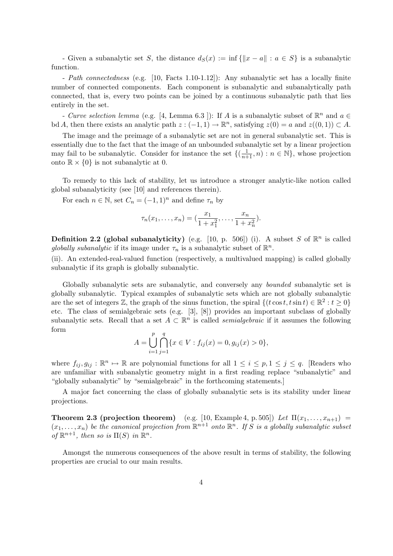- Given a subanalytic set S, the distance  $d_S(x) := \inf \{||x - a|| : a \in S\}$  is a subanalytic function.

- Path connectedness (e.g. [10, Facts 1.10-1.12]): Any subanalytic set has a locally finite number of connected components. Each component is subanalytic and subanalytically path connected, that is, every two points can be joined by a continuous subanalytic path that lies entirely in the set.

- Curve selection lemma (e.g. [4, Lemma 6.3]): If A is a subanalytic subset of  $\mathbb{R}^n$  and  $a \in$ bd A, then there exists an analytic path  $z: (-1,1) \to \mathbb{R}^n$ , satisfying  $z(0) = a$  and  $z((0,1)) \subset A$ .

The image and the preimage of a subanalytic set are not in general subanalytic set. This is essentially due to the fact that the image of an unbounded subanalytic set by a linear projection may fail to be subanalytic. Consider for instance the set  $\{(\frac{1}{n+1}, n) : n \in \mathbb{N}\}\,$ , whose projection onto  $\mathbb{R} \times \{0\}$  is not subanalytic at 0.

To remedy to this lack of stability, let us introduce a stronger analytic-like notion called global subanalyticity (see [10] and references therein).

For each  $n \in \mathbb{N}$ , set  $C_n = (-1, 1)^n$  and define  $\tau_n$  by

$$
\tau_n(x_1,\ldots,x_n) = (\frac{x_1}{1+x_1^2},\ldots,\frac{x_n}{1+x_n^2}).
$$

**Definition 2.2 (global subanalyticity)** (e.g. [10, p. 506]) (i). A subset S of  $\mathbb{R}^n$  is called globally subanalytic if its image under  $\tau_n$  is a subanalytic subset of  $\mathbb{R}^n$ .

(ii). An extended-real-valued function (respectively, a multivalued mapping) is called globally subanalytic if its graph is globally subanalytic.

Globally subanalytic sets are subanalytic, and conversely any bounded subanalytic set is globally subanalytic. Typical examples of subanalytic sets which are not globally subanalytic are the set of integers  $\mathbb{Z}$ , the graph of the sinus function, the spiral  $\{(t \cos t, t \sin t) \in \mathbb{R}^2 : t \geq 0\}$ etc. The class of semialgebraic sets (e.g. [3], [8]) provides an important subclass of globally subanalytic sets. Recall that a set  $A \subset \mathbb{R}^n$  is called *semialgebraic* if it assumes the following form

$$
A = \bigcup_{i=1}^{p} \bigcap_{j=1}^{q} \{x \in V : f_{ij}(x) = 0, g_{ij}(x) > 0\},\
$$

where  $f_{ij}, g_{ij} : \mathbb{R}^n \to \mathbb{R}$  are polynomial functions for all  $1 \le i \le p, 1 \le j \le q$ . [Readers who are unfamiliar with subanalytic geometry might in a first reading replace "subanalytic" and "globally subanalytic" by "semialgebraic" in the forthcoming statements.]

A major fact concerning the class of globally subanalytic sets is its stability under linear projections.

**Theorem 2.3 (projection theorem)** (e.g. [10, Example 4, p. 505]) Let  $\Pi(x_1, \ldots, x_{n+1})$  =  $(x_1, \ldots, x_n)$  be the canonical projection from  $\mathbb{R}^{n+1}$  onto  $\mathbb{R}^n$ . If S is a globally subanalytic subset of  $\mathbb{R}^{n+1}$ , then so is  $\Pi(S)$  in  $\mathbb{R}^n$ .

Amongst the numerous consequences of the above result in terms of stability, the following properties are crucial to our main results.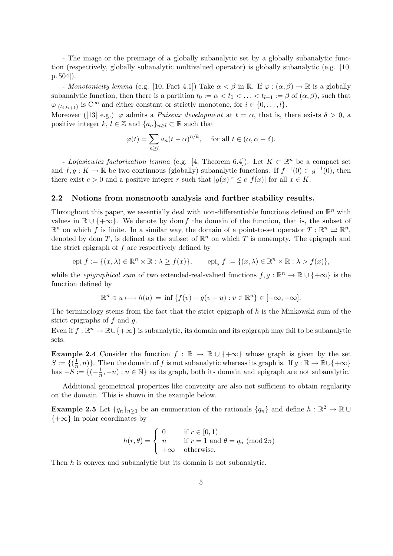- The image or the preimage of a globally subanalytic set by a globally subanalytic function (respectively, globally subanalytic multivalued operator) is globally subanalytic (e.g. [10, p. 504]).

- Monotonicity lemma (e.g. [10, Fact 4.1]) Take  $\alpha < \beta$  in R. If  $\varphi : (\alpha, \beta) \to \mathbb{R}$  is a globally subanalytic function, then there is a partition  $t_0 := \alpha < t_1 < \ldots < t_{l+1} := \beta$  of  $(\alpha, \beta)$ , such that  $\varphi|_{(t_i,t_{i+1})}$  is  $C^{\infty}$  and either constant or strictly monotone, for  $i \in \{0,\ldots,l\}$ .

Moreover ([13] e.g.)  $\varphi$  admits a *Puiseux development* at  $t = \alpha$ , that is, there exists  $\delta > 0$ , a positive integer k,  $l \in \mathbb{Z}$  and  $\{a_n\}_{n\geq l} \subset \mathbb{R}$  such that

$$
\varphi(t) = \sum_{n \geq l} a_n (t - \alpha)^{n/k}, \quad \text{for all } t \in (\alpha, \alpha + \delta).
$$

- Lojasiewicz factorization lemma (e.g. [4, Theorem 6.4]): Let  $K \subset \mathbb{R}^n$  be a compact set and  $f, g: K \to \mathbb{R}$  be two continuous (globally) subanalytic functions. If  $f^{-1}(0) \subset g^{-1}(0)$ , then there exist  $c > 0$  and a positive integer r such that  $|g(x)|^r \le c |f(x)|$  for all  $x \in K$ .

#### 2.2 Notions from nonsmooth analysis and further stability results.

Throughout this paper, we essentially deal with non-differentiable functions defined on  $\mathbb{R}^n$  with values in  $\mathbb{R} \cup \{+\infty\}$ . We denote by dom f the domain of the function, that is, the subset of  $\mathbb{R}^n$  on which f is finite. In a similar way, the domain of a point-to-set operator  $T : \mathbb{R}^n \rightrightarrows \mathbb{R}^n$ , denoted by dom T, is defined as the subset of  $\mathbb{R}^n$  on which T is nonempty. The epigraph and the strict epigraph of  $f$  are respectively defined by

$$
epi \ f := \{(x,\lambda) \in \mathbb{R}^n \times \mathbb{R} : \lambda \ge f(x)\}, \qquad epi \ f := \{(x,\lambda) \in \mathbb{R}^n \times \mathbb{R} : \lambda > f(x)\},
$$

while the *epigraphical sum* of two extended-real-valued functions  $f, g : \mathbb{R}^n \to \mathbb{R} \cup \{+\infty\}$  is the function defined by

$$
\mathbb{R}^n \ni u \longmapsto h(u) = \inf \{ f(v) + g(v - u) : v \in \mathbb{R}^n \} \in [-\infty, +\infty].
$$

The terminology stems from the fact that the strict epigraph of  $h$  is the Minkowski sum of the strict epigraphs of  $f$  and  $g$ .

Even if  $f: \mathbb{R}^n \to \mathbb{R} \cup \{+\infty\}$  is subanalytic, its domain and its epigraph may fail to be subanalytic sets.

**Example 2.4** Consider the function  $f : \mathbb{R} \to \mathbb{R} \cup \{+\infty\}$  whose graph is given by the set  $S := \{(\frac{1}{n})\}$  $\frac{1}{n}, n$ . Then the domain of f is not subanalytic whereas its graph is. If  $g : \mathbb{R} \to \mathbb{R} \cup \{+\infty\}$ has  $-S := \{(-\frac{1}{n})\}$  $\frac{1}{n}, -n)$ :  $n \in \mathbb{N}$  as its graph, both its domain and epigraph are not subanalytic.

Additional geometrical properties like convexity are also not sufficient to obtain regularity on the domain. This is shown in the example below.

**Example 2.5** Let  $\{q_n\}_{n\geq 1}$  be an enumeration of the rationals  $\{q_n\}$  and define  $h: \mathbb{R}^2 \to \mathbb{R} \cup$  ${+\infty}$  in polar coordinates by

$$
h(r,\theta) = \begin{cases} 0 & \text{if } r \in [0,1) \\ n & \text{if } r = 1 \text{ and } \theta = q_n \pmod{2\pi} \\ +\infty & \text{otherwise.} \end{cases}
$$

Then h is convex and subanalytic but its domain is not subanalytic.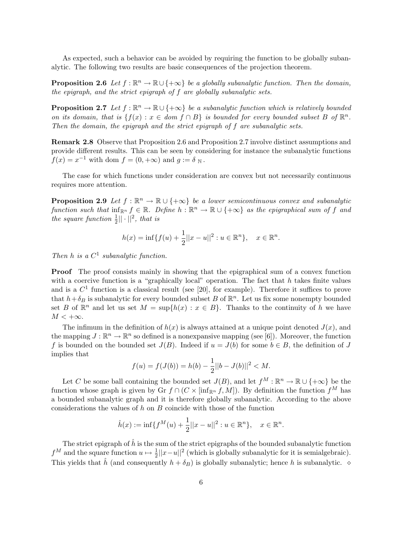As expected, such a behavior can be avoided by requiring the function to be globally subanalytic. The following two results are basic consequences of the projection theorem.

**Proposition 2.6** Let  $f : \mathbb{R}^n \to \mathbb{R} \cup \{+\infty\}$  be a globally subanalytic function. Then the domain, the epigraph, and the strict epigraph of f are globally subanalytic sets.

**Proposition 2.7** Let  $f : \mathbb{R}^n \to \mathbb{R} \cup \{+\infty\}$  be a subanalytic function which is relatively bounded on its domain, that is  $\{f(x) : x \in dom\ f \cap B\}$  is bounded for every bounded subset B of  $\mathbb{R}^n$ . Then the domain, the epigraph and the strict epigraph of f are subanalytic sets.

Remark 2.8 Observe that Proposition 2.6 and Proposition 2.7 involve distinct assumptions and provide different results. This can be seen by considering for instance the subanalytic functions  $f(x) = x^{-1}$  with dom  $f = (0, +\infty)$  and  $g := \delta_{\mathbb{N}}$ .

The case for which functions under consideration are convex but not necessarily continuous requires more attention.

**Proposition 2.9** Let  $f : \mathbb{R}^n \to \mathbb{R} \cup \{+\infty\}$  be a lower semicontinuous convex and subanalytic function such that  $inf_{\mathbb{R}^n} f \in \mathbb{R}$ . Define  $h : \mathbb{R}^n \to \mathbb{R} \cup \{+\infty\}$  as the epigraphical sum of f and the square function  $\frac{1}{2}||\cdot||^2$ , that is

$$
h(x) = \inf\{f(u) + \frac{1}{2}||x - u||^2 : u \in \mathbb{R}^n\}, \quad x \in \mathbb{R}^n.
$$

Then h is a  $C^1$  subanalytic function.

Proof The proof consists mainly in showing that the epigraphical sum of a convex function with a coercive function is a "graphically local" operation. The fact that  $h$  takes finite values and is a  $C<sup>1</sup>$  function is a classical result (see [20], for example). Therefore it suffices to prove that  $h + \delta_B$  is subanalytic for every bounded subset B of  $\mathbb{R}^n$ . Let us fix some nonempty bounded set B of  $\mathbb{R}^n$  and let us set  $M = \sup\{h(x) : x \in B\}$ . Thanks to the continuity of h we have  $M < +\infty$ .

The infimum in the definition of  $h(x)$  is always attained at a unique point denoted  $J(x)$ , and the mapping  $J : \mathbb{R}^n \to \mathbb{R}^n$  so defined is a nonexpansive mapping (see [6]). Moreover, the function f is bounded on the bounded set  $J(B)$ . Indeed if  $u = J(b)$  for some  $b \in B$ , the definition of J implies that

$$
f(u) = f(J(b)) = h(b) - \frac{1}{2}||b - J(b)||^2 < M.
$$

Let C be some ball containing the bounded set  $J(B)$ , and let  $f^M : \mathbb{R}^n \to \mathbb{R} \cup \{+\infty\}$  be the function whose graph is given by Gr  $f \cap (C \times [\inf_{\mathbb{R}^n} f, M])$ . By definition the function  $f^M$  has a bounded subanalytic graph and it is therefore globally subanalytic. According to the above considerations the values of  $h$  on  $B$  coincide with those of the function

$$
\hat{h}(x) := \inf \{ f^M(u) + \frac{1}{2} ||x - u||^2 : u \in \mathbb{R}^n \}, \quad x \in \mathbb{R}^n.
$$

The strict epigraph of  $\hat{h}$  is the sum of the strict epigraphs of the bounded subanalytic function  $f^M$  and the square function  $u \mapsto \frac{1}{2}||x-u||^2$  (which is globally subanalytic for it is semialgebraic). This yields that  $\hat{h}$  (and consequently  $h + \delta_B$ ) is globally subanalytic; hence h is subanalytic.  $\diamond$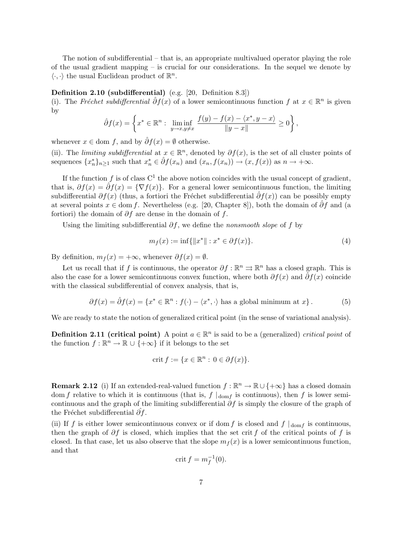The notion of subdifferential – that is, an appropriate multivalued operator playing the role of the usual gradient mapping – is crucial for our considerations. In the sequel we denote by  $\langle \cdot, \cdot \rangle$  the usual Euclidean product of  $\mathbb{R}^n$ .

Definition 2.10 (subdifferential) (e.g. [20, Definition 8.3])

(i). The Fréchet subdifferential  $\hat{\partial}f(x)$  of a lower semicontinuous function f at  $x \in \mathbb{R}^n$  is given by  $\mathbf{A}^{\dagger}$ 

$$
\hat{\partial}f(x) = \left\{ x^* \in \mathbb{R}^n : \liminf_{y \to x, y \neq x} \frac{f(y) - f(x) - \langle x^*, y - x \rangle}{\|y - x\|} \ge 0 \right\},\
$$

whenever  $x \in$  dom f, and by  $\hat{\partial} f(x) = \emptyset$  otherwise.

(ii). The *limiting subdifferential* at  $x \in \mathbb{R}^n$ , denoted by  $\partial f(x)$ , is the set of all cluster points of sequences  ${x_n^*}_{n \geq 1}$  such that  $x_n^* \in \hat{\partial} f(x_n)$  and  $(x_n, f(x_n)) \to (x, f(x))$  as  $n \to +\infty$ .

If the function f is of class  $C^1$  the above notion coincides with the usual concept of gradient, that is,  $\partial f(x) = \partial f(x) = \{\nabla f(x)\}\.$  For a general lower semicontinuous function, the limiting subdifferential  $\partial f(x)$  (thus, a fortiori the Fréchet subdifferential  $\partial f(x)$ ) can be possibly empty at several points  $x \in \text{dom } f$ . Nevertheless (e.g. [20, Chapter 8]), both the domain of  $\partial f$  and (a fortiori) the domain of  $\partial f$  are dense in the domain of f.

Using the limiting subdifferential  $\partial f$ , we define the *nonsmooth slope* of f by

$$
m_f(x) := \inf\{\|x^*\| : x^* \in \partial f(x)\}.
$$
 (4)

By definition,  $m_f(x) = +\infty$ , whenever  $\partial f(x) = \emptyset$ .

Let us recall that if f is continuous, the operator  $\partial f : \mathbb{R}^n \to \mathbb{R}^n$  has a closed graph. This is also the case for a lower semicontinuous convex function, where both  $\partial f(x)$  and  $\partial f(x)$  coincide with the classical subdifferential of convex analysis, that is,

$$
\partial f(x) = \hat{\partial} f(x) = \{x^* \in \mathbb{R}^n : f(\cdot) - \langle x^*, \cdot \rangle \text{ has a global minimum at } x\}.
$$
 (5)

We are ready to state the notion of generalized critical point (in the sense of variational analysis).

**Definition 2.11 (critical point)** A point  $a \in \mathbb{R}^n$  is said to be a (generalized) *critical point* of the function  $f : \mathbb{R}^n \to \mathbb{R} \cup \{+\infty\}$  if it belongs to the set

$$
crit f := \{ x \in \mathbb{R}^n : 0 \in \partial f(x) \}.
$$

**Remark 2.12** (i) If an extended-real-valued function  $f : \mathbb{R}^n \to \mathbb{R} \cup \{+\infty\}$  has a closed domain dom f relative to which it is continuous (that is,  $f|_{\text{dom } f}$  is continuous), then f is lower semicontinuous and the graph of the limiting subdifferential  $\partial f$  is simply the closure of the graph of the Fréchet subdifferential  $\partial f$ .

(ii) If f is either lower semicontinuous convex or if dom f is closed and  $f|_{\text{dom }f}$  is continuous, then the graph of  $\partial f$  is closed, which implies that the set crit f of the critical points of f is closed. In that case, let us also observe that the slope  $m<sub>f</sub>(x)$  is a lower semicontinuous function, and that

$$
crit f = m_f^{-1}(0).
$$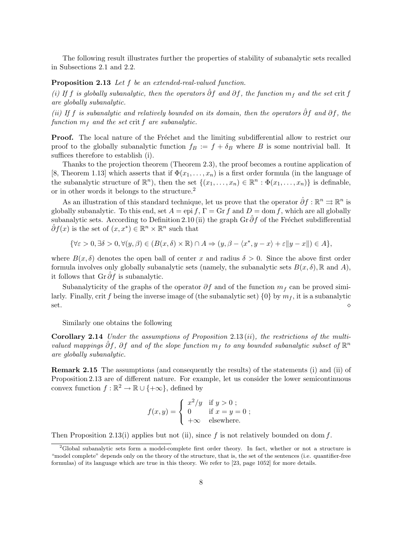The following result illustrates further the properties of stability of subanalytic sets recalled in Subsections 2.1 and 2.2.

#### Proposition 2.13 Let f be an extended-real-valued function.

(i) If f is globally subanalytic, then the operators  $\hat{\partial} f$  and  $\partial f$ , the function  $m_f$  and the set crit f are globally subanalytic.

(ii) If f is subanalytic and relatively bounded on its domain, then the operators  $\hat{\partial} f$  and  $\partial f$ , the function  $m<sub>f</sub>$  and the set crit f are subanalytic.

**Proof.** The local nature of the Fréchet and the limiting subdifferential allow to restrict our proof to the globally subanalytic function  $f_B := f + \delta_B$  where B is some nontrivial ball. It suffices therefore to establish (i).

Thanks to the projection theorem (Theorem 2.3), the proof becomes a routine application of [8, Theorem 1.13] which asserts that if  $\Phi(x_1, \ldots, x_n)$  is a first order formula (in the language of the subanalytic structure of  $\mathbb{R}^n$ , then the set  $\{(x_1,\ldots,x_n) \in \mathbb{R}^n : \Phi(x_1,\ldots,x_n)\}\)$  is definable, or in other words it belongs to the structure.<sup>2</sup>

As an illustration of this standard technique, let us prove that the operator  $\hat{\partial} f : \mathbb{R}^n \rightrightarrows \mathbb{R}^n$  is globally subanalytic. To this end, set  $A =$  epi f,  $\Gamma =$  Gr f and  $D =$  dom f, which are all globally subanalytic sets. According to Definition 2.10 (ii) the graph Gr  $\partial f$  of the Fréchet subdifferential  $\hat{\partial}f(x)$  is the set of  $(x, x^*) \in \mathbb{R}^n \times \mathbb{R}^n$  such that

$$
\{\forall \varepsilon>0, \exists \delta>0, \forall (y,\beta)\in (B(x,\delta)\times\mathbb{R})\cap A\Rightarrow (y,\beta-\langle x^*,y-x\rangle+\varepsilon\|y-x\|)\in A\},
$$

where  $B(x, \delta)$  denotes the open ball of center x and radius  $\delta > 0$ . Since the above first order formula involves only globally subanalytic sets (namely, the subanalytic sets  $B(x, \delta)$ , R and A), it follows that Gr $\partial f$  is subanalytic.

Subanalyticity of the graphs of the operator  $\partial f$  and of the function  $m_f$  can be proved similarly. Finally, crit f being the inverse image of (the subanalytic set)  $\{0\}$  by  $m_f$ , it is a subanalytic  $\circ$  set.

Similarly one obtains the following

**Corollary 2.14** Under the assumptions of Proposition 2.13 (ii), the restrictions of the multivalued mappings  $\hat{\partial}f$ ,  $\partial f$  and of the slope function  $m_f$  to any bounded subanalytic subset of  $\mathbb{R}^n$ are globally subanalytic.

Remark 2.15 The assumptions (and consequently the results) of the statements (i) and (ii) of Proposition 2.13 are of different nature. For example, let us consider the lower semicontinuous convex function  $f : \mathbb{R}^2 \to \mathbb{R} \cup \{+\infty\}$ , defined by

$$
f(x,y) = \begin{cases} x^2/y & \text{if } y > 0 ; \\ 0 & \text{if } x = y = 0 ; \\ +\infty & \text{elsewhere.} \end{cases}
$$

Then Proposition 2.13(i) applies but not (ii), since f is not relatively bounded on dom f.

<sup>&</sup>lt;sup>2</sup>Global subanalytic sets form a model-complete first order theory. In fact, whether or not a structure is "model complete" depends only on the theory of the structure, that is, the set of the sentences (i.e. quantifier-free formulas) of its language which are true in this theory. We refer to [23, page 1052] for more details.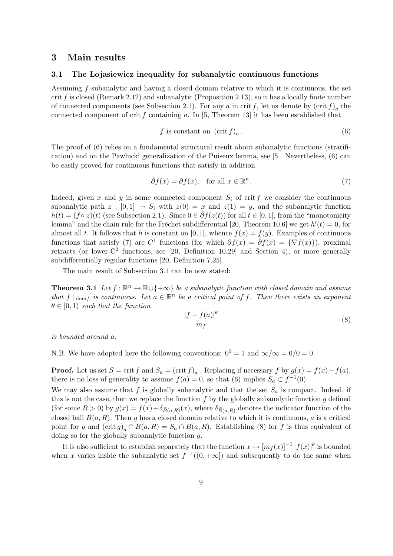#### 3 Main results

#### 3.1 The Lojasiewicz inequality for subanalytic continuous functions

Assuming f subanalytic and having a closed domain relative to which it is continuous, the set crit  $f$  is closed (Remark 2.12) and subanalytic (Proposition 2.13), so it has a locally finite number of connected components (see Subsection 2.1). For any a in crit f, let us denote by  $(\operatorname{crit} f)_a$  the connected component of crit f containing a. In  $[5,$  Theorem 13 it has been established that

$$
f \text{ is constant on } (\text{crit } f)_a. \tag{6}
$$

The proof of (6) relies on a fundamental structural result about subanalytic functions (stratification) and on the Pawłucki generalization of the Puiseux lemma, see [5]. Nevertheless,  $(6)$  can be easily proved for continuous functions that satisfy in addition

$$
\hat{\partial}f(x) = \partial f(x), \quad \text{for all } x \in \mathbb{R}^n. \tag{7}
$$

Indeed, given x and y in some connected component  $S_i$  of crit f we consider the continuous subanalytic path  $z : [0, 1] \rightarrow S_i$  with  $z(0) = x$  and  $z(1) = y$ , and the subanalytic function  $h(t) = (f \circ z)(t)$  (see Subsection 2.1). Since  $0 \in \hat{\partial} f(z(t))$  for all  $t \in [0, 1]$ , from the "monotonicity lemma" and the chain rule for the Fréchet subdifferential [20, Theorem 10.6] we get  $h'(t) = 0$ , for almost all t. It follows that h is constant on [0, 1], whence  $f(x) = f(y)$ . Examples of continuous functions that satisfy (7) are  $C^1$  functions (for which  $\partial f(x) = \hat{\partial} f(x) = \{\nabla f(x)\}\)$ , proximal retracts (or lower- $C^2$  functions, see [20, Definition 10.29] and Section 4), or more generally subdifferentially regular functions [20, Definition 7.25].

The main result of Subsection 3.1 can be now stated:

**Theorem 3.1** Let  $f : \mathbb{R}^n \to \mathbb{R} \cup \{+\infty\}$  be a subanalytic function with closed domain and assume that  $f \mid_{domf}$  is continuous. Let  $a \in \mathbb{R}^n$  be a critical point of f. Then there exists an exponent  $\theta \in [0, 1)$  such that the function

$$
\frac{|f - f(a)|^{\theta}}{m_f} \tag{8}
$$

is bounded around a.

N.B. We have adopted here the following conventions:  $0^0 = 1$  and  $\infty/\infty = 0/0 = 0$ .

**Proof.** Let us set  $S = \text{crit } f$  and  $S_a = (\text{crit } f)_a$ . Replacing if necessary f by  $g(x) = f(x) - f(a)$ , there is no loss of generality to assume  $f(a) = 0$ , so that (6) implies  $S_a \subset f^{-1}(0)$ .

We may also assume that f is globally subanalytic and that the set  $S_a$  is compact. Indeed, if this is not the case, then we replace the function  $f$  by the globally subanalytic function  $g$  defined (for some  $R > 0$ ) by  $g(x) = f(x) + \delta_{\bar{B}(a,R)}(x)$ , where  $\delta_{\bar{B}(a,R)}$  denotes the indicator function of the closed ball  $\bar{B}(a, R)$ . Then g has a closed domain relative to which it is continuous, a is a critical point for g and  $(\text{crit } g)_a \cap B(a, R) = S_a \cap B(a, R)$ . Establishing (8) for f is thus equivalent of doing so for the globally subanalytic function g.

It is also sufficient to establish separately that the function  $x \mapsto [m_f(x)]^{-1} |f(x)|^{\theta}$  is bounded when x varies inside the subanalytic set  $f^{-1}((0, +\infty])$  and subsequently to do the same when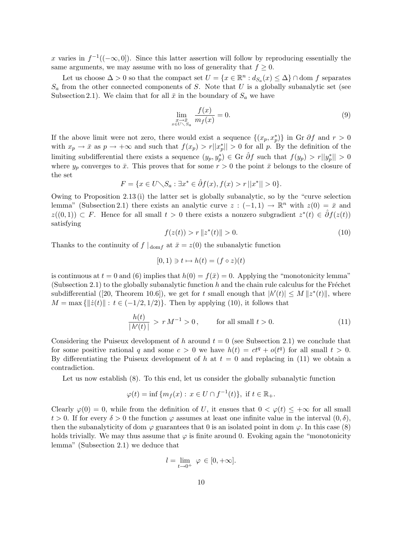x varies in  $f^{-1}((-\infty,0])$ . Since this latter assertion will follow by reproducing essentially the same arguments, we may assume with no loss of generality that  $f \geq 0$ .

Let us choose  $\Delta > 0$  so that the compact set  $U = \{x \in \mathbb{R}^n : d_{S_a}(x) \leq \Delta\} \cap \text{dom } f$  separates  $S_a$  from the other connected components of S. Note that U is a globally subanalytic set (see Subsection 2.1). We claim that for all  $\bar{x}$  in the boundary of  $S_a$  we have

$$
\lim_{\substack{x \to \bar{x} \\ x \in U \setminus S_a}} \frac{f(x)}{m_f(x)} = 0.
$$
\n(9)

If the above limit were not zero, there would exist a sequence  $\{(x_p, x_p^*)\}$  in Gr  $\partial f$  and  $r > 0$ with  $x_p \to \bar{x}$  as  $p \to +\infty$  and such that  $f(x_p) > r||x_p^*|| > 0$  for all p. By the definition of the limiting subdifferential there exists a sequence  $(y_p, y_p^*) \in \text{Gr } \hat{\partial} f$  such that  $f(y_p) > r ||y_p^*|| > 0$ where  $y_p$  converges to  $\bar{x}$ . This proves that for some  $r > 0$  the point  $\bar{x}$  belongs to the closure of the set

$$
F = \{ x \in U \setminus S_a : \exists x^* \in \hat{\partial} f(x), f(x) > r \, ||x^*|| > 0 \}.
$$

Owing to Proposition 2.13 (i) the latter set is globally subanalytic, so by the "curve selection lemma" (Subsection 2.1) there exists an analytic curve  $z: (-1,1) \to \mathbb{R}^n$  with  $z(0) = \bar{x}$  and  $z((0,1)) \subset F$ . Hence for all small  $t > 0$  there exists a nonzero subgradient  $z^*(t) \in \hat{\partial}f(z(t))$ satisfying

$$
f(z(t)) > r \|z^*(t)\| > 0.
$$
\n(10)

Thanks to the continuity of  $f|_{\text{dom } f}$  at  $\bar{x} = z(0)$  the subanalytic function

$$
[0,1) \ni t \mapsto h(t) = (f \circ z)(t)
$$

is continuous at  $t = 0$  and (6) implies that  $h(0) = f(\bar{x}) = 0$ . Applying the "monotonicity lemma" (Subsection 2.1) to the globally subanalytic function  $h$  and the chain rule calculus for the Fréchet subdifferential ([20, Theorem 10.6]), we get for t small enough that  $|h'(t)| \le M \|z^*(t)\|$ , where  $M = \max \{||\dot{z}(t)|| : t \in (-1/2, 1/2)\}\.$  Then by applying (10), it follows that

$$
\frac{h(t)}{|h'(t)|} > r M^{-1} > 0, \qquad \text{for all small } t > 0.
$$
 (11)

Considering the Puiseux development of h around  $t = 0$  (see Subsection 2.1) we conclude that for some positive rational q and some  $c > 0$  we have  $h(t) = ct^q + o(t^q)$  for all small  $t > 0$ . By differentiating the Puiseux development of h at  $t = 0$  and replacing in (11) we obtain a contradiction.

Let us now establish (8). To this end, let us consider the globally subanalytic function

$$
\varphi(t) = \inf \{ m_f(x) : x \in U \cap f^{-1}(t) \}, \text{ if } t \in \mathbb{R}_+.
$$

Clearly  $\varphi(0) = 0$ , while from the definition of U, it ensues that  $0 < \varphi(t) < +\infty$  for all small  $t > 0$ . If for every  $\delta > 0$  the function  $\varphi$  assumes at least one infinite value in the interval  $(0, \delta)$ , then the subanalyticity of dom  $\varphi$  guarantees that 0 is an isolated point in dom  $\varphi$ . In this case (8) holds trivially. We may thus assume that  $\varphi$  is finite around 0. Evoking again the "monotonicity" lemma" (Subsection 2.1) we deduce that

$$
l = \lim_{t \to 0^+} \varphi \in [0, +\infty].
$$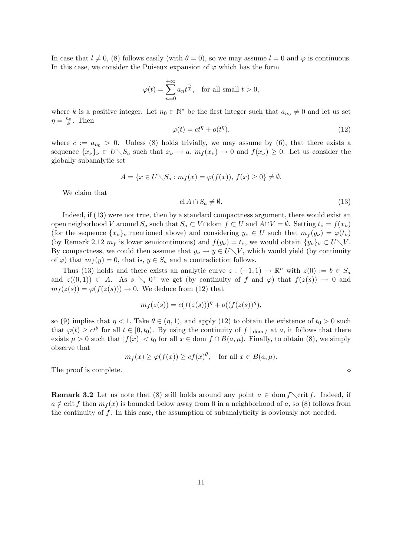In case that  $l \neq 0$ , (8) follows easily (with  $\theta = 0$ ), so we may assume  $l = 0$  and  $\varphi$  is continuous. In this case, we consider the Puiseux expansion of  $\varphi$  which has the form

$$
\varphi(t) = \sum_{n=0}^{+\infty} a_n t^{\frac{n}{k}}, \quad \text{for all small } t > 0,
$$

where k is a positive integer. Let  $n_0 \in \mathbb{N}^*$  be the first integer such that  $a_{n_0} \neq 0$  and let us set  $\eta = \frac{n_0}{k}$ . Then

$$
\varphi(t) = ct^{\eta} + o(t^{\eta}),\tag{12}
$$

where  $c := a_{n_0} > 0$ . Unless (8) holds trivially, we may assume by (6), that there exists a sequence  $\{x_{\nu}\}_{\nu} \subset U \setminus S_a$  such that  $x_{\nu} \to a$ ,  $m_f(x_{\nu}) \to 0$  and  $f(x_{\nu}) \geq 0$ . Let us consider the globally subanalytic set

$$
A = \{x \in U \setminus S_a : m_f(x) = \varphi(f(x)), \ f(x) \ge 0\} \ne \emptyset.
$$

We claim that

$$
cl A \cap S_a \neq \emptyset. \tag{13}
$$

Indeed, if (13) were not true, then by a standard compactness argument, there would exist an open neigborhood V around  $S_a$  such that  $S_a \subset V \cap$ dom  $f \subset U$  and  $A \cap V = \emptyset$ . Setting  $t_{\nu} = f(x_{\nu})$ (for the sequence  $\{x_{\nu}\}_{\nu}$  mentioned above) and considering  $y_{\nu} \in U$  such that  $m_f(y_{\nu}) = \varphi(t_{\nu})$ (by Remark 2.12  $m_f$  is lower semicontinuous) and  $f(y_\nu) = t_\nu$ , we would obtain  $\{y_\nu\}_\nu \subset U \setminus V$ . By compactness, we could then assume that  $y_{\nu} \to y \in U \setminus V$ , which would yield (by continuity of  $\varphi$ ) that  $m_f(y) = 0$ , that is,  $y \in S_a$  and a contradiction follows.

Thus (13) holds and there exists an analytic curve  $z: (-1,1) \to \mathbb{R}^n$  with  $z(0) := b \in S_a$ and  $z((0,1)) \subset A$ . As  $s \searrow 0^+$  we get (by continuity of f and  $\varphi$ ) that  $f(z(s)) \to 0$  and  $m_f(z(s)) = \varphi(f(z(s))) \to 0$ . We deduce from (12) that

$$
m_f(z(s)) = c(f(z(s)))^{\eta} + o((f(z(s))^{\eta}),
$$

so (9) implies that  $\eta < 1$ . Take  $\theta \in (\eta, 1)$ , and apply (12) to obtain the existence of  $t_0 > 0$  such that  $\varphi(t) \geq ct^{\theta}$  for all  $t \in [0, t_0)$ . By using the continuity of  $f \mid_{dom f}$  at  $a$ , it follows that there exists  $\mu > 0$  such that  $|f(x)| < t_0$  for all  $x \in \text{dom } f \cap B(a, \mu)$ . Finally, to obtain (8), we simply observe that

$$
m_f(x) \ge \varphi(f(x)) \ge cf(x)^{\theta}
$$
, for all  $x \in B(a, \mu)$ .

The proof is complete.  $\Diamond$ 

**Remark 3.2** Let us note that (8) still holds around any point  $a \in \text{dom } f \setminus \text{crit } f$ . Indeed, if  $a \notin \text{crit } f$  then  $m_f(x)$  is bounded below away from 0 in a neighborhood of a, so (8) follows from the continuity of  $f$ . In this case, the assumption of subanalyticity is obviously not needed.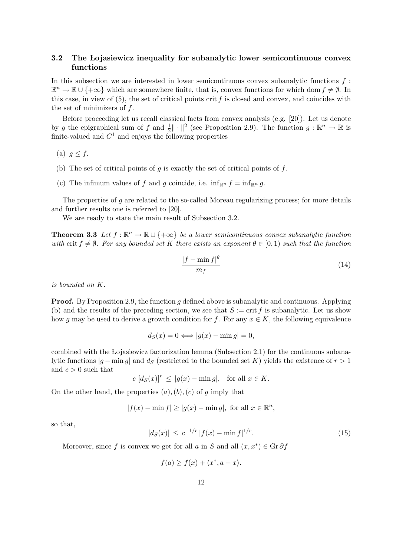#### 3.2 The Lojasiewicz inequality for subanalytic lower semicontinuous convex functions

In this subsection we are interested in lower semicontinuous convex subanalytic functions  $f$ :  $\mathbb{R}^n \to \mathbb{R} \cup \{+\infty\}$  which are somewhere finite, that is, convex functions for which dom  $f \neq \emptyset$ . In this case, in view of  $(5)$ , the set of critical points crit f is closed and convex, and coincides with the set of minimizers of  $f$ .

Before proceeding let us recall classical facts from convex analysis (e.g. [20]). Let us denote by g the epigraphical sum of f and  $\frac{1}{2} \|\cdot\|^2$  (see Proposition 2.9). The function  $g : \mathbb{R}^n \to \mathbb{R}$  is finite-valued and  $C^1$  and enjoys the following properties

(a)  $g \leq f$ .

- (b) The set of critical points of g is exactly the set of critical points of f.
- (c) The infimum values of f and g coincide, i.e.  $\inf_{\mathbb{R}^n} f = \inf_{\mathbb{R}^n} g$ .

The properties of  $g$  are related to the so-called Moreau regularizing process; for more details and further results one is referred to [20].

We are ready to state the main result of Subsection 3.2.

**Theorem 3.3** Let  $f : \mathbb{R}^n \to \mathbb{R} \cup \{+\infty\}$  be a lower semicontinuous convex subanalytic function with crit  $f \neq \emptyset$ . For any bounded set K there exists an exponent  $\theta \in [0,1)$  such that the function

$$
\frac{|f - \min f|^{\theta}}{m_f} \tag{14}
$$

is bounded on K.

**Proof.** By Proposition 2.9, the function q defined above is subanalytic and continuous. Applying (b) and the results of the preceding section, we see that  $S := \text{crit } f$  is subanalytic. Let us show how g may be used to derive a growth condition for f. For any  $x \in K$ , the following equivalence

$$
d_S(x) = 0 \Longleftrightarrow |g(x) - \min g| = 0,
$$

combined with the Lojasiewicz factorization lemma (Subsection 2.1) for the continuous subanalytic functions  $|g - \min g|$  and  $d_S$  (restricted to the bounded set K) yields the existence of  $r > 1$ and  $c > 0$  such that

$$
c [d_S(x)]^r \le |g(x) - \min g|, \text{ for all } x \in K.
$$

On the other hand, the properties  $(a)$ ,  $(b)$ ,  $(c)$  of g imply that

$$
|f(x) - \min f| \ge |g(x) - \min g|, \text{ for all } x \in \mathbb{R}^n,
$$

so that,

$$
[d_S(x)] \le c^{-1/r} |f(x) - \min f|^{1/r}.
$$
 (15)

Moreover, since f is convex we get for all a in S and all  $(x, x^*) \in \mathbb{G} \cdot \partial f$ 

$$
f(a) \ge f(x) + \langle x^*, a - x \rangle.
$$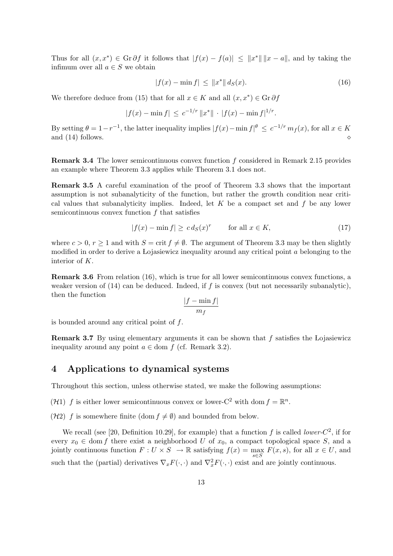Thus for all  $(x, x^*) \in \mathbb{G}r \partial f$  it follows that  $|f(x) - f(a)| \leq ||x^*|| \, ||x - a||$ , and by taking the infimum over all  $a \in S$  we obtain

$$
|f(x) - \min f| \le ||x^*|| \, d_S(x). \tag{16}
$$

We therefore deduce from (15) that for all  $x \in K$  and all  $(x, x^*) \in \mathbb{G} \cdot \partial f$ 

$$
|f(x) - \min f| \leq c^{-1/r} ||x^*|| \cdot |f(x) - \min f|^{1/r}.
$$

By setting  $\theta = 1 - r^{-1}$ , the latter inequality implies  $|f(x) - \min f|$ <sup> $\theta \leq c^{-1/r} m_f(x)$ , for all  $x \in K$ </sup> and  $(14)$  follows.

Remark 3.4 The lower semicontinuous convex function f considered in Remark 2.15 provides an example where Theorem 3.3 applies while Theorem 3.1 does not.

Remark 3.5 A careful examination of the proof of Theorem 3.3 shows that the important assumption is not subanalyticity of the function, but rather the growth condition near critical values that subanalyticity implies. Indeed, let  $K$  be a compact set and  $f$  be any lower semicontinuous convex function  $f$  that satisfies

$$
|f(x) - \min f| \ge c \, d_S(x)^r \qquad \text{for all } x \in K,\tag{17}
$$

where  $c > 0$ ,  $r > 1$  and with  $S = \text{crit } f \neq \emptyset$ . The argument of Theorem 3.3 may be then slightly modified in order to derive a Lojasiewicz inequality around any critical point  $\alpha$  belonging to the interior of K.

Remark 3.6 From relation (16), which is true for all lower semicontinuous convex functions, a weaker version of  $(14)$  can be deduced. Indeed, if f is convex (but not necessarily subanalytic), then the function

$$
\frac{|f - \min f|}{m_f}
$$

is bounded around any critical point of  $f$ .

Remark 3.7 By using elementary arguments it can be shown that  $f$  satisfies the Lojasiewicz inequality around any point  $a \in \text{dom } f$  (cf. Remark 3.2).

### 4 Applications to dynamical systems

Throughout this section, unless otherwise stated, we make the following assumptions:

(H1) f is either lower semicontinuous convex or lower-C<sup>2</sup> with dom  $f = \mathbb{R}^n$ .

(H2) f is somewhere finite (dom  $f \neq \emptyset$ ) and bounded from below.

We recall (see [20, Definition 10.29], for example) that a function f is called *lower-C*<sup>2</sup>, if for every  $x_0 \in \text{dom } f$  there exist a neighborhood U of  $x_0$ , a compact topological space S, and a jointly continuous function  $F: U \times S \to \mathbb{R}$  satisfying  $f(x) = \max_{s \in S} F(x, s)$ , for all  $x \in U$ , and such that the (partial) derivatives  $\nabla_x F(\cdot, \cdot)$  and  $\nabla_x^2 F(\cdot, \cdot)$  exist and are jointly continuous.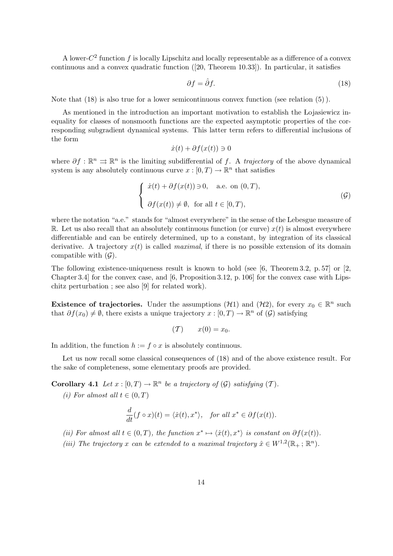A lower- $C^2$  function f is locally Lipschitz and locally representable as a difference of a convex continuous and a convex quadratic function ([20, Theorem 10.33]). In particular, it satisfies

$$
\partial f = \hat{\partial} f. \tag{18}
$$

Note that (18) is also true for a lower semicontinuous convex function (see relation (5) ).

As mentioned in the introduction an important motivation to establish the Lojasiewicz inequality for classes of nonsmooth functions are the expected asymptotic properties of the corresponding subgradient dynamical systems. This latter term refers to differential inclusions of the form

$$
\dot{x}(t) + \partial f(x(t)) \ni 0
$$

where  $\partial f : \mathbb{R}^n \implies \mathbb{R}^n$  is the limiting subdifferential of f. A trajectory of the above dynamical system is any absolutely continuous curve  $x : [0, T) \to \mathbb{R}^n$  that satisfies

$$
\begin{cases}\n\dot{x}(t) + \partial f(x(t)) \ni 0, \quad \text{a.e. on } (0, T), \\
\partial f(x(t)) \neq \emptyset, \text{ for all } t \in [0, T),\n\end{cases} \tag{G}
$$

where the notation "a.e." stands for "almost everywhere" in the sense of the Lebesgue measure of R. Let us also recall that an absolutely continuous function (or curve)  $x(t)$  is almost everywhere differentiable and can be entirely determined, up to a constant, by integration of its classical derivative. A trajectory  $x(t)$  is called *maximal*, if there is no possible extension of its domain compatible with  $(G)$ .

The following existence-uniqueness result is known to hold (see  $[6,$  Theorem 3.2, p. 57] or  $[2,$ Chapter 3.4] for the convex case, and [6, Proposition 3.12, p. 106] for the convex case with Lipschitz perturbation ; see also [9] for related work).

Existence of trajectories. Under the assumptions ( $\mathcal{H}1$ ) and ( $\mathcal{H}2$ ), for every  $x_0 \in \mathbb{R}^n$  such that  $\partial f(x_0) \neq \emptyset$ , there exists a unique trajectory  $x : [0, T) \to \mathbb{R}^n$  of  $(\mathcal{G})$  satisfying

$$
(T) \qquad x(0) = x_0.
$$

In addition, the function  $h := f \circ x$  is absolutely continuous.

Let us now recall some classical consequences of (18) and of the above existence result. For the sake of completeness, some elementary proofs are provided.

**Corollary 4.1** Let  $x : [0, T) \to \mathbb{R}^n$  be a trajectory of  $(\mathcal{G})$  satisfying  $(T)$ .

(i) For almost all  $t \in (0, T)$ 

$$
\frac{d}{dt}(f\circ x)(t) = \langle \dot{x}(t), x^* \rangle, \quad \text{for all } x^* \in \partial f(x(t)).
$$

(ii) For almost all  $t \in (0,T)$ , the function  $x^* \mapsto \langle \dot{x}(t), x^* \rangle$  is constant on  $\partial f(x(t))$ .

(iii) The trajectory x can be extended to a maximal trajectory  $\hat{x} \in W^{1,2}(\mathbb{R}_+; \mathbb{R}^n)$ .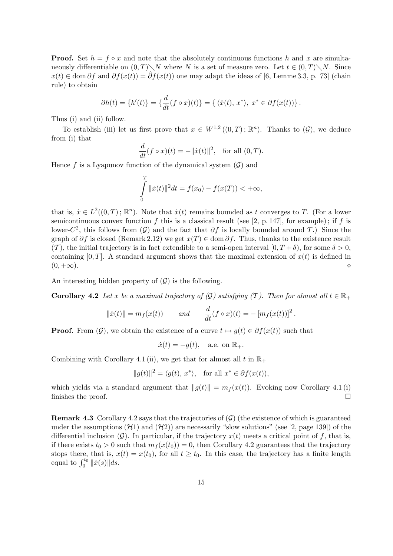**Proof.** Set  $h = f \circ x$  and note that the absolutely continuous functions h and x are simultaneously differentiable on  $(0, T)\setminus N$  where N is a set of measure zero. Let  $t \in (0, T)\setminus N$ . Since  $x(t) \in \text{dom }\partial f$  and  $\partial f(x(t)) = \hat{\partial} f(x(t))$  one may adapt the ideas of [6, Lemme 3.3, p. 73] (chain rule) to obtain

$$
\partial h(t) = \{h'(t)\} = \left\{\frac{d}{dt}(f \circ x)(t)\right\} = \left\{\langle \dot{x}(t), x^* \rangle, x^* \in \partial f(x(t))\right\}.
$$

Thus (i) and (ii) follow.

To establish (iii) let us first prove that  $x \in W^{1,2}((0,T); \mathbb{R}^n)$ . Thanks to  $(\mathcal{G})$ , we deduce from (i) that

$$
\frac{d}{dt}(f \circ x)(t) = -||\dot{x}(t)||^2, \text{ for all } (0, T).
$$

Hence  $f$  is a Lyapunov function of the dynamical system  $(G)$  and

$$
\int_{0}^{T} \|\dot{x}(t)\|^{2} dt = f(x_{0}) - f(x(T)) < +\infty,
$$

that is,  $\dot{x} \in L^2((0,T); \mathbb{R}^n)$ . Note that  $\dot{x}(t)$  remains bounded as t converges to T. (For a lower semicontinuous convex function f this is a classical result (see [2, p. 147], for example); if f is lower- $C^2$ , this follows from  $(\mathcal{G})$  and the fact that  $\partial f$  is locally bounded around T.) Since the graph of  $\partial f$  is closed (Remark 2.12) we get  $x(T) \in \text{dom }\partial f$ . Thus, thanks to the existence result  $(T)$ , the initial trajectory is in fact extendible to a semi-open interval  $[0, T + \delta)$ , for some  $\delta > 0$ , containing  $[0, T]$ . A standard argument shows that the maximal extension of  $x(t)$  is defined in  $(0, +\infty)$ .

An interesting hidden property of  $(\mathcal{G})$  is the following.

**Corollary 4.2** Let x be a maximal trajectory of  $(\mathcal{G})$  satisfying  $(\mathcal{T})$ . Then for almost all  $t \in \mathbb{R}_+$ 

$$
||\dot{x}(t)|| = m_f(x(t))
$$
 and  $\frac{d}{dt}(f \circ x)(t) = -[m_f(x(t))]^2$ .

**Proof.** From  $(\mathcal{G})$ , we obtain the existence of a curve  $t \mapsto g(t) \in \partial f(x(t))$  such that

$$
\dot{x}(t) = -g(t), \quad \text{a.e. on } \mathbb{R}_+.
$$

Combining with Corollary 4.1 (ii), we get that for almost all t in  $\mathbb{R}_+$ 

$$
||g(t)||^2 = \langle g(t), x^* \rangle, \text{ for all } x^* \in \partial f(x(t)),
$$

which yields via a standard argument that  $||g(t)|| = m_f (x(t))$ . Evoking now Corollary 4.1 (i) finishes the proof.  $\Box$ 

**Remark 4.3** Corollary 4.2 says that the trajectories of  $(\mathcal{G})$  (the existence of which is guaranteed under the assumptions  $(H1)$  and  $(H2)$  are necessarily "slow solutions" (see [2, page 139]) of the differential inclusion  $(G)$ . In particular, if the trajectory  $x(t)$  meets a critical point of f, that is, if there exists  $t_0 > 0$  such that  $m_f(x(t_0)) = 0$ , then Corollary 4.2 guarantees that the trajectory stops there, that is,  $x(t) = x(t_0)$ , for all  $t \ge t_0$ . In this case, the trajectory has a finite length stops there, that is, x<br>equal to  $\int_0^{t_0} ||\dot{x}(s)|| ds$ .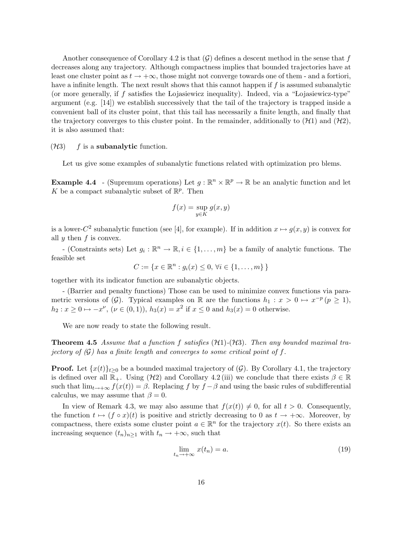Another consequence of Corollary 4.2 is that  $(G)$  defines a descent method in the sense that f decreases along any trajectory. Although compactness implies that bounded trajectories have at least one cluster point as  $t \to +\infty$ , those might not converge towards one of them - and a fortiori, have a infinite length. The next result shows that this cannot happen if  $f$  is assumed subanalytic (or more generally, if  $f$  satisfies the Lojasiewicz inequality). Indeed, via a "Lojasiewicz-type" argument (e.g. [14]) we establish successively that the tail of the trajectory is trapped inside a convenient ball of its cluster point, that this tail has necessarily a finite length, and finally that the trajectory converges to this cluster point. In the remainder, additionally to  $(H1)$  and  $(H2)$ , it is also assumed that:

#### $(\mathcal{H}3)$  f is a subanalytic function.

Let us give some examples of subanalytic functions related with optimization pro blems.

**Example 4.4** - (Supremum operations) Let  $g : \mathbb{R}^n \times \mathbb{R}^p \to \mathbb{R}$  be an analytic function and let K be a compact subanalytic subset of  $\mathbb{R}^p$ . Then

$$
f(x) = \sup_{y \in K} g(x, y)
$$

is a lower-C<sup>2</sup> subanalytic function (see [4], for example). If in addition  $x \mapsto g(x, y)$  is convex for all  $y$  then  $f$  is convex.

- (Constraints sets) Let  $g_i : \mathbb{R}^n \to \mathbb{R}, i \in \{1, ..., m\}$  be a family of analytic functions. The feasible set

$$
C := \{ x \in \mathbb{R}^n : g_i(x) \le 0, \forall i \in \{1, ..., m\} \}
$$

together with its indicator function are subanalytic objects.

- (Barrier and penalty functions) Those can be used to minimize convex functions via parametric versions of  $(\mathcal{G})$ . Typical examples on R are the functions  $h_1 : x > 0 \mapsto x^{-p} (p \ge 1)$ ,  $h_2: x \ge 0 \mapsto -x^{\nu}$ ,  $(\nu \in (0,1)), h_3(x) = x^2$  if  $x \le 0$  and  $h_3(x) = 0$  otherwise.

We are now ready to state the following result.

**Theorem 4.5** Assume that a function f satisfies  $(H1)-(H3)$ . Then any bounded maximal trajectory of  $(G)$  has a finite length and converges to some critical point of f.

**Proof.** Let  $\{x(t)\}_{t>0}$  be a bounded maximal trajectory of  $(\mathcal{G})$ . By Corollary 4.1, the trajectory is defined over all  $\mathbb{R}_+$ . Using (H2) and Corollary 4.2 (iii) we conclude that there exists  $\beta \in \mathbb{R}$ such that  $\lim_{t\to+\infty} f(x(t)) = \beta$ . Replacing f by  $f - \beta$  and using the basic rules of subdifferential calculus, we may assume that  $\beta = 0$ .

In view of Remark 4.3, we may also assume that  $f(x(t)) \neq 0$ , for all  $t > 0$ . Consequently, the function  $t \mapsto (f \circ x)(t)$  is positive and strictly decreasing to 0 as  $t \to +\infty$ . Moreover, by compactness, there exists some cluster point  $a \in \mathbb{R}^n$  for the trajectory  $x(t)$ . So there exists an increasing sequence  $(t_n)_{n\geq 1}$  with  $t_n \to +\infty$ , such that

$$
\lim_{t_n \to +\infty} x(t_n) = a. \tag{19}
$$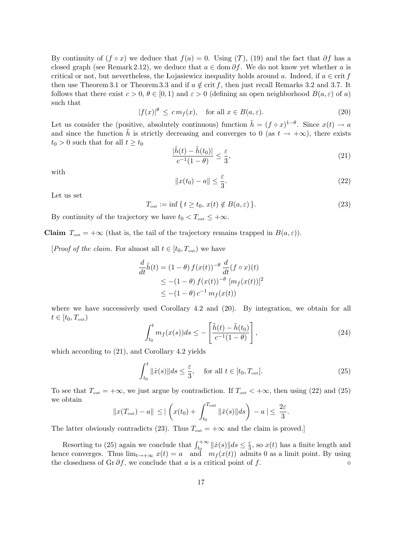By continuity of  $(f \circ x)$  we deduce that  $f(a) = 0$ . Using  $(T)$ ,  $(19)$  and the fact that  $\partial f$  has a closed graph (see Remark 2.12), we deduce that  $a \in \text{dom }\partial f$ . We do not know yet whether a is critical or not, but nevertheless, the Lojasiewicz inequality holds around a. Indeed, if  $a \in \text{crit } f$ then use Theorem 3.1 or Theorem 3.3 and if  $a \notin \text{crit } f$ , then just recall Remarks 3.2 and 3.7. It follows that there exist  $c > 0$ ,  $\theta \in [0, 1)$  and  $\varepsilon > 0$  (defining an open neighborhood  $B(a, \varepsilon)$  of a) such that

$$
|f(x)|^{\theta} \le cm_f(x), \quad \text{for all } x \in B(a, \varepsilon). \tag{20}
$$

Let us consider the (positive, absolutely continuous) function  $\tilde{h} = (f \circ x)^{1-\theta}$ . Since  $x(t) \to a$ and since the function  $\tilde{h}$  is strictly decreasing and converges to 0 (as  $t \to +\infty$ ), there exists  $t_0 > 0$  such that for all  $t \geq t_0$ 

$$
\frac{|\tilde{h}(t) - \tilde{h}(t_0)|}{c^{-1}(1 - \theta)} \le \frac{\varepsilon}{3},\tag{21}
$$

with

$$
||x(t_0) - a|| \le \frac{\varepsilon}{3}.
$$
\n(22)

Let us set

$$
T_{\text{out}} := \inf \{ t \ge t_0, x(t) \notin B(a, \varepsilon) \}. \tag{23}
$$

By continuity of the trajectory we have  $t_0 < T_{\text{out}} \leq +\infty$ .

**Claim**  $T_{\text{out}} = +\infty$  (that is, the tail of the trajectory remains trapped in  $B(a, \varepsilon)$ ).

[*Proof of the claim.* For almost all  $t \in [t_0, T_{out})$  we have

$$
\frac{d}{dt}\tilde{h}(t) = (1 - \theta) f(x(t))^{-\theta} \frac{d}{dt}(f \circ x)(t)
$$
\n
$$
\leq -(1 - \theta) f(x(t))^{-\theta} [m_f(x(t))]^2
$$
\n
$$
\leq -(1 - \theta) c^{-1} m_f(x(t))
$$

where we have successively used Corollary 4.2 and (20). By integration, we obtain for all  $t \in [t_0, T_{\text{out}})$ #

$$
\int_{t_0}^t m_f(x(s))ds \le -\left[\frac{\tilde{h}(t) - \tilde{h}(t_0)}{c^{-1}(1-\theta)}\right],\tag{24}
$$

which according to (21), and Corollary 4.2 yields

$$
\int_{t_0}^t \|\dot{x}(s)\|ds \le \frac{\varepsilon}{3}, \quad \text{for all } t \in [t_0, T_{\text{out}}].
$$
 (25)

To see that  $T_{\text{out}} = +\infty$ , we just argue by contradiction. If  $T_{\text{out}} < +\infty$ , then using (22) and (25) we obtain

$$
||x(T_{\text{out}})-a|| \leq ||\left(x(t_0)+\int_{t_0}^{T_{\text{out}}} ||\dot{x}(s)||ds\right) - a|| \leq \frac{2\varepsilon}{3}.
$$

The latter obviously contradicts (23). Thus  $T_{\text{out}} = +\infty$  and the claim is proved.]

Resorting to (25) again we conclude that  $\int_{t_0}^{+\infty} ||\dot{x}(s)|| ds \leq \frac{\varepsilon}{3}$  $\frac{\varepsilon}{3}$ , so  $x(t)$  has a finite length and hence converges. Thus  $\lim_{t\to+\infty} x(t) = a$  and  $m_f(x(t))$  admits 0 as a limit point. By using the closedness of Gr  $\partial f$ , we conclude that a is a critical point of f.  $\diamond$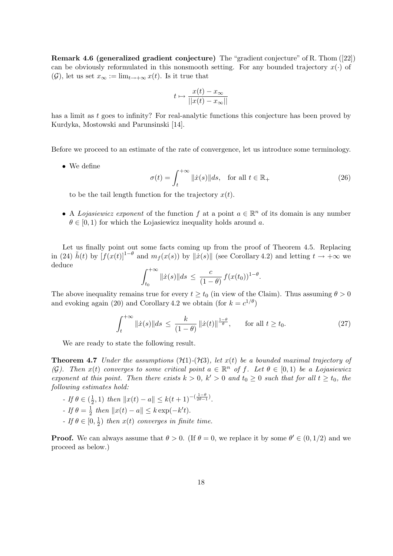Remark 4.6 (generalized gradient conjecture) The "gradient conjecture" of R. Thom ([22]) can be obviously reformulated in this nonsmooth setting. For any bounded trajectory  $x(\cdot)$  of  $(\mathcal{G})$ , let us set  $x_{\infty} := \lim_{t \to +\infty} x(t)$ . Is it true that

$$
t \mapsto \frac{x(t) - x_{\infty}}{||x(t) - x_{\infty}||}
$$

has a limit as t goes to infinity? For real-analytic functions this conjecture has been proved by Kurdyka, Mostowski and Parunsinski [14].

Before we proceed to an estimate of the rate of convergence, let us introduce some terminology.

• We define

$$
\sigma(t) = \int_{t}^{+\infty} ||\dot{x}(s)||ds, \quad \text{for all } t \in \mathbb{R}_{+}
$$
\n(26)

to be the tail length function for the trajectory  $x(t)$ .

• A Lojasiewicz exponent of the function f at a point  $a \in \mathbb{R}^n$  of its domain is any number  $\theta \in [0, 1)$  for which the Lojasiewicz inequality holds around a.

Let us finally point out some facts coming up from the proof of Theorem 4.5. Replacing in (24)  $\tilde{h}(t)$  by  $[f(x(t))]^{1-\theta}$  and  $m_f(x(s))$  by  $\|\tilde{x}(s)\|$  (see Corollary 4.2) and letting  $t \to +\infty$  we deduce  $r + \infty$ 

$$
\int_{t_0}^{+\infty} ||\dot{x}(s)||ds \leq \frac{c}{(1-\theta)} f(x(t_0))^{1-\theta}.
$$

The above inequality remains true for every  $t \ge t_0$  (in view of the Claim). Thus assuming  $\theta > 0$ and evoking again (20) and Corollary 4.2 we obtain (for  $k = c^{1/\theta}$ )

$$
\int_{t}^{+\infty} \|\dot{x}(s)\|ds \le \frac{k}{(1-\theta)} \|\dot{x}(t)\|^{\frac{1-\theta}{\theta}}, \qquad \text{for all } t \ge t_0.
$$
 (27)

We are ready to state the following result.

**Theorem 4.7** Under the assumptions  $(H1)-(H3)$ , let  $x(t)$  be a bounded maximal trajectory of (G). Then  $x(t)$  converges to some critical point  $a \in \mathbb{R}^n$  of f. Let  $\theta \in [0,1)$  be a Lojasiewicz exponent at this point. Then there exists  $k > 0$ ,  $k' > 0$  and  $t_0 \ge 0$  such that for all  $t \ge t_0$ , the following estimates hold:

- If  $\theta \in (\frac{1}{2})$  $\frac{1}{2}$ , 1) then  $||x(t) - a|| \leq k(t+1)^{-(\frac{1-\theta}{2\theta-1})}$ . - If  $\theta = \frac{1}{2}$  $\frac{1}{2}$  then  $||x(t) - a|| \le k \exp(-k't)$ . - If  $\theta \in [0, \frac{1}{2}]$  $\frac{1}{2}$ ) then  $x(t)$  converges in finite time.

**Proof.** We can always assume that  $\theta > 0$ . (If  $\theta = 0$ , we replace it by some  $\theta' \in (0, 1/2)$  and we proceed as below.)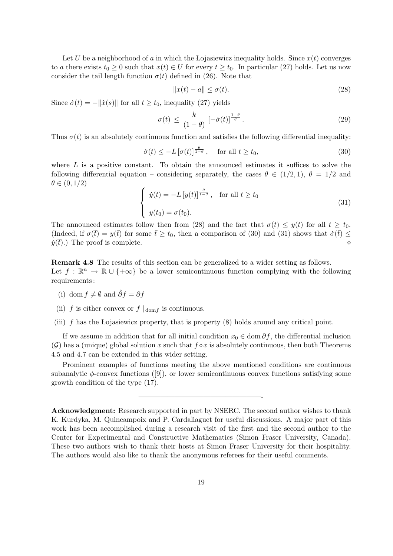Let U be a neighborhood of a in which the Lojasiewicz inequality holds. Since  $x(t)$  converges to a there exists  $t_0 \geq 0$  such that  $x(t) \in U$  for every  $t \geq t_0$ . In particular (27) holds. Let us now consider the tail length function  $\sigma(t)$  defined in (26). Note that

$$
||x(t) - a|| \le \sigma(t). \tag{28}
$$

Since  $\dot{\sigma}(t) = -\|\dot{x}(s)\|$  for all  $t \geq t_0$ , inequality (27) yields

$$
\sigma(t) \le \frac{k}{(1-\theta)} \left[ -\dot{\sigma}(t) \right]^{\frac{1-\theta}{\theta}}.
$$
\n(29)

Thus  $\sigma(t)$  is an absolutely continuous function and satisfies the following differential inequality:

$$
\dot{\sigma}(t) \le -L\left[\sigma(t)\right]^{\frac{\theta}{1-\theta}}, \quad \text{for all } t \ge t_0,\tag{30}
$$

where  $L$  is a positive constant. To obtain the announced estimates it suffices to solve the following differential equation – considering separately, the cases  $\theta \in (1/2, 1)$ ,  $\theta = 1/2$  and  $\theta \in (0,1/2)$  $\overline{a}$ 

$$
\begin{cases} \dot{y}(t) = -L [y(t)]^{\frac{\theta}{1-\theta}}, & \text{for all } t \ge t_0 \\ y(t_0) = \sigma(t_0). \end{cases}
$$
\n(31)

The announced estimates follow then from (28) and the fact that  $\sigma(t) \leq y(t)$  for all  $t \geq t_0$ . (Indeed, if  $\sigma(\bar{t}) = y(\bar{t})$  for some  $\bar{t} \geq t_0$ , then a comparison of (30) and (31) shows that  $\dot{\sigma}(\bar{t}) \leq$  $\dot{y}(\bar{t})$ .) The proof is complete.

Remark 4.8 The results of this section can be generalized to a wider setting as follows. Let  $f : \mathbb{R}^n \to \mathbb{R} \cup \{+\infty\}$  be a lower semicontinuous function complying with the following requirements :

- (i) dom  $f \neq \emptyset$  and  $\hat{\partial}f = \partial f$
- (ii) f is either convex or  $f \mid_{dom f}$  is continuous.
- (iii)  $f$  has the Lojasiewicz property, that is property  $(8)$  holds around any critical point.

If we assume in addition that for all initial condition  $x_0 \in \text{dom }\partial f$ , the differential inclusion  $(G)$  has a (unique) global solution x such that  $f \circ x$  is absolutely continuous, then both Theorems 4.5 and 4.7 can be extended in this wider setting.

Prominent examples of functions meeting the above mentioned conditions are continuous subanalytic  $\phi$ -convex functions ([9]), or lower semicontinuous convex functions satisfying some growth condition of the type (17).

—————————————————-

Acknowledgment: Research supported in part by NSERC. The second author wishes to thank K. Kurdyka, M. Quincampoix and P. Cardaliaguet for useful discussions. A major part of this work has been accomplished during a research visit of the first and the second author to the Center for Experimental and Constructive Mathematics (Simon Fraser University, Canada). These two authors wish to thank their hosts at Simon Fraser University for their hospitality. The authors would also like to thank the anonymous referees for their useful comments.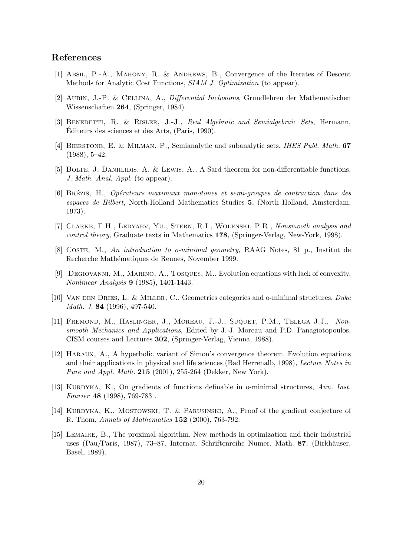### References

- [1] Absil, P.-A., Mahony, R. & Andrews, B., Convergence of the Iterates of Descent Methods for Analytic Cost Functions, SIAM J. Optimization (to appear).
- [2] Aubin, J.-P. & Cellina, A., Differential Inclusions, Grundlehren der Mathematischen Wissenschaften 264, (Springer, 1984).
- [3] BENEDETTI, R. & RISLER, J.-J., Real Algebraic and Semialgebraic Sets, Hermann, Editeurs des sciences et des Arts, (Paris, 1990). ´
- [4] Bierstone, E. & Milman, P., Semianalytic and subanalytic sets, IHES Publ. Math. 67 (1988), 5–42.
- [5] BOLTE, J, DANIILIDIS, A. & LEWIS, A., A Sard theorem for non-differentiable functions, J. Math. Anal. Appl. (to appear).
- [6] Brezis, H., ´ Op´erateurs maximaux monotones et semi-groupes de contraction dans des espaces de Hilbert, North-Holland Mathematics Studies 5, (North Holland, Amsterdam, 1973).
- [7] CLARKE, F.H., LEDYAEV, YU., STERN, R.I., WOLENSKI, P.R., Nonsmooth analysis and control theory, Graduate texts in Mathematics 178, (Springer-Verlag, New-York, 1998).
- [8] Coste, M., An introduction to o-minimal geometry, RAAG Notes, 81 p., Institut de Recherche Mathématiques de Rennes, November 1999.
- [9] Degiovanni, M., Marino, A., Tosques, M., Evolution equations with lack of convexity, Nonlinear Analysis 9 (1985), 1401-1443.
- [10] Van den Dries, L. & Miller, C., Geometries categories and o-minimal structures, Duke Math. J. 84 (1996), 497-540.
- [11] FREMOND, M., HASLINGER, J., MOREAU, J.-J., SUQUET, P.M., TELEGA J.J., Nonsmooth Mechanics and Applications, Edited by J.-J. Moreau and P.D. Panagiotopoulos, CISM courses and Lectures 302, (Springer-Verlag, Vienna, 1988).
- [12] Haraux, A., A hyperbolic variant of Simon's convergence theorem. Evolution equations and their applications in physical and life sciences (Bad Herrenalb, 1998), Lecture Notes in Pure and Appl. Math. 215 (2001), 255-264 (Dekker, New York).
- [13] KURDYKA, K., On gradients of functions definable in o-minimal structures, Ann. Inst. Fourier 48 (1998), 769-783 .
- [14] KURDYKA, K., MOSTOWSKI, T. & PARUSINSKI, A., Proof of the gradient conjecture of R. Thom, Annals of Mathematics 152 (2000), 763-792.
- [15] Lemaire, B., The proximal algorithm. New methods in optimization and their industrial uses (Pau/Paris, 1987), 73–87, Internat. Schriftenreihe Numer. Math. 87, (Birkhäuser, Basel, 1989).